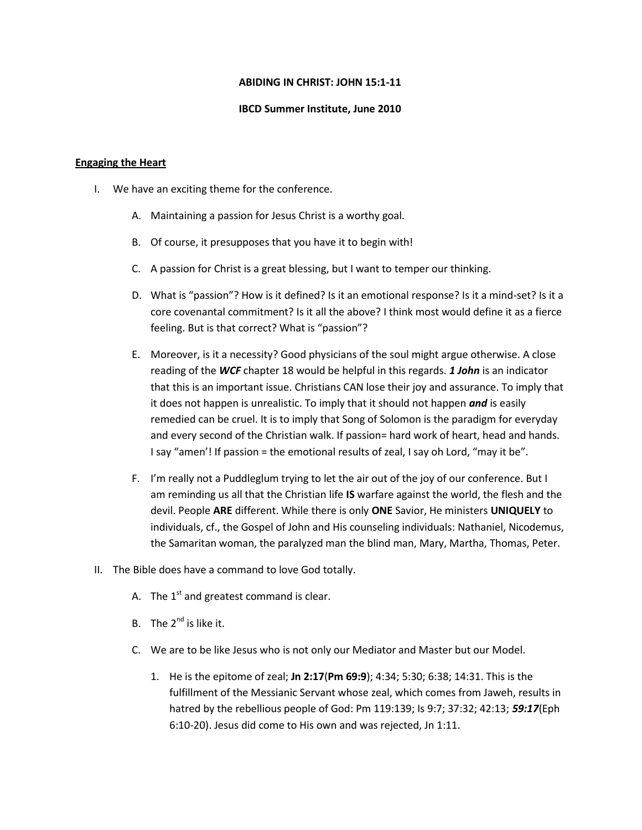### **ABIDING IN CHRIST: JOHN 15:1-11**

### **IBCD Summer Institute, June 2010**

### **Engaging the Heart**

- I. We have an exciting theme for the conference.
	- A. Maintaining a passion for Jesus Christ is a worthy goal.
	- B. Of course, it presupposes that you have it to begin with!
	- C. A passion for Christ is a great blessing, but I want to temper our thinking.
	- D. What is "passion"? How is it defined? Is it an emotional response? Is it a mind-set? Is it a core covenantal commitment? Is it all the above? I think most would define it as a fierce feeling. But is that correct? What is "passion"?
	- E. Moreover, is it a necessity? Good physicians of the soul might argue otherwise. A close reading of the *WCF* chapter 18 would be helpful in this regards. *1 John* is an indicator that this is an important issue. Christians CAN lose their joy and assurance. To imply that it does not happen is unrealistic. To imply that it should not happen *and* is easily remedied can be cruel. It is to imply that Song of Solomon is the paradigm for everyday and every second of the Christian walk. If passion= hard work of heart, head and hands. I say "amen'! If passion = the emotional results of zeal, I say oh Lord, "may it be".
	- F. I'm really not a Puddleglum trying to let the air out of the joy of our conference. But I am reminding us all that the Christian life **IS** warfare against the world, the flesh and the devil. People **ARE** different. While there is only **ONE** Savior, He ministers **UNIQUELY** to individuals, cf., the Gospel of John and His counseling individuals: Nathaniel, Nicodemus, the Samaritan woman, the paralyzed man the blind man, Mary, Martha, Thomas, Peter.
- II. The Bible does have a command to love God totally.
	- A. The  $1^{st}$  and greatest command is clear.
	- B. The  $2^{nd}$  is like it.
	- C. We are to be like Jesus who is not only our Mediator and Master but our Model.
		- 1. He is the epitome of zeal; **Jn 2:17**(**Pm 69:9**); 4:34; 5:30; 6:38; 14:31. This is the fulfillment of the Messianic Servant whose zeal, which comes from Jaweh, results in hatred by the rebellious people of God: Pm 119:139; Is 9:7; 37:32; 42:13; *59:17*(Eph 6:10-20). Jesus did come to His own and was rejected, Jn 1:11.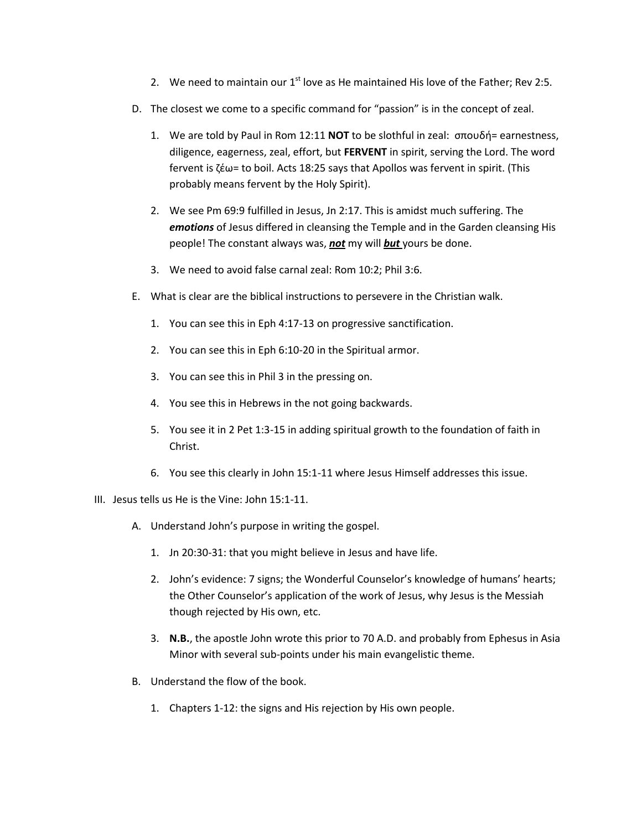- 2. We need to maintain our  $1^{st}$  love as He maintained His love of the Father: Rev 2:5.
- D. The closest we come to a specific command for "passion" is in the concept of zeal.
	- 1. We are told by Paul in Rom 12:11 **NOT** to be slothful in zeal: σπουδή= earnestness, diligence, eagerness, zeal, effort, but **FERVENT** in spirit, serving the Lord. The word fervent is ζέω= to boil. Acts 18:25 says that Apollos was fervent in spirit. (This probably means fervent by the Holy Spirit).
	- 2. We see Pm 69:9 fulfilled in Jesus, Jn 2:17. This is amidst much suffering. The *emotions* of Jesus differed in cleansing the Temple and in the Garden cleansing His people! The constant always was, *not* my will *but* yours be done.
	- 3. We need to avoid false carnal zeal: Rom 10:2; Phil 3:6.
- E. What is clear are the biblical instructions to persevere in the Christian walk.
	- 1. You can see this in Eph 4:17-13 on progressive sanctification.
	- 2. You can see this in Eph 6:10-20 in the Spiritual armor.
	- 3. You can see this in Phil 3 in the pressing on.
	- 4. You see this in Hebrews in the not going backwards.
	- 5. You see it in 2 Pet 1:3-15 in adding spiritual growth to the foundation of faith in Christ.
	- 6. You see this clearly in John 15:1-11 where Jesus Himself addresses this issue.
- III. Jesus tells us He is the Vine: John 15:1-11.
	- A. Understand John's purpose in writing the gospel.
		- 1. Jn 20:30-31: that you might believe in Jesus and have life.
		- 2. John's evidence: 7 signs; the Wonderful Counselor's knowledge of humans' hearts; the Other Counselor's application of the work of Jesus, why Jesus is the Messiah though rejected by His own, etc.
		- 3. **N.B.**, the apostle John wrote this prior to 70 A.D. and probably from Ephesus in Asia Minor with several sub-points under his main evangelistic theme.
	- B. Understand the flow of the book.
		- 1. Chapters 1-12: the signs and His rejection by His own people.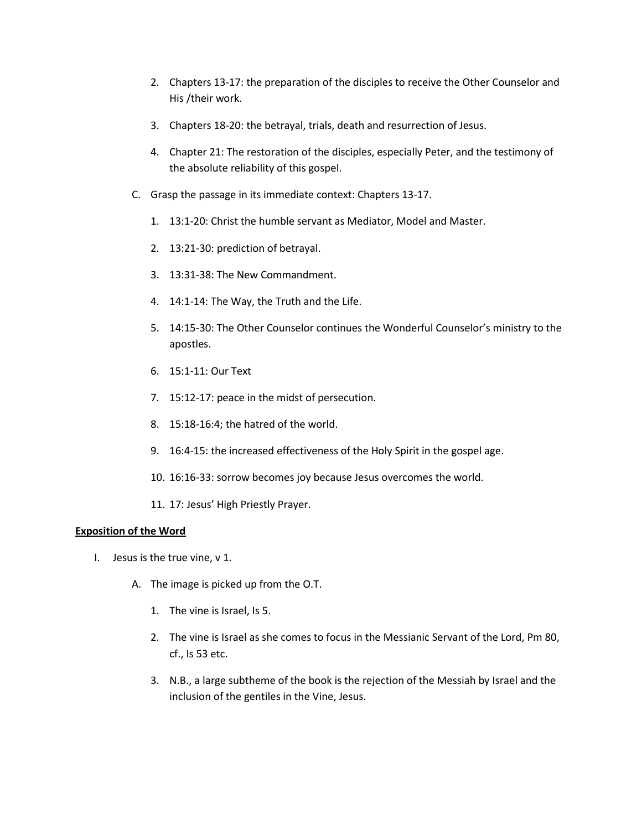- 2. Chapters 13-17: the preparation of the disciples to receive the Other Counselor and His /their work.
- 3. Chapters 18-20: the betrayal, trials, death and resurrection of Jesus.
- 4. Chapter 21: The restoration of the disciples, especially Peter, and the testimony of the absolute reliability of this gospel.
- C. Grasp the passage in its immediate context: Chapters 13-17.
	- 1. 13:1-20: Christ the humble servant as Mediator, Model and Master.
	- 2. 13:21-30: prediction of betrayal.
	- 3. 13:31-38: The New Commandment.
	- 4. 14:1-14: The Way, the Truth and the Life.
	- 5. 14:15-30: The Other Counselor continues the Wonderful Counselor's ministry to the apostles.
	- 6. 15:1-11: Our Text
	- 7. 15:12-17: peace in the midst of persecution.
	- 8. 15:18-16:4; the hatred of the world.
	- 9. 16:4-15: the increased effectiveness of the Holy Spirit in the gospel age.
	- 10. 16:16-33: sorrow becomes joy because Jesus overcomes the world.
	- 11. 17: Jesus' High Priestly Prayer.

# **Exposition of the Word**

- I. Jesus is the true vine, v 1.
	- A. The image is picked up from the O.T.
		- 1. The vine is Israel, Is 5.
		- 2. The vine is Israel as she comes to focus in the Messianic Servant of the Lord, Pm 80, cf., Is 53 etc.
		- 3. N.B., a large subtheme of the book is the rejection of the Messiah by Israel and the inclusion of the gentiles in the Vine, Jesus.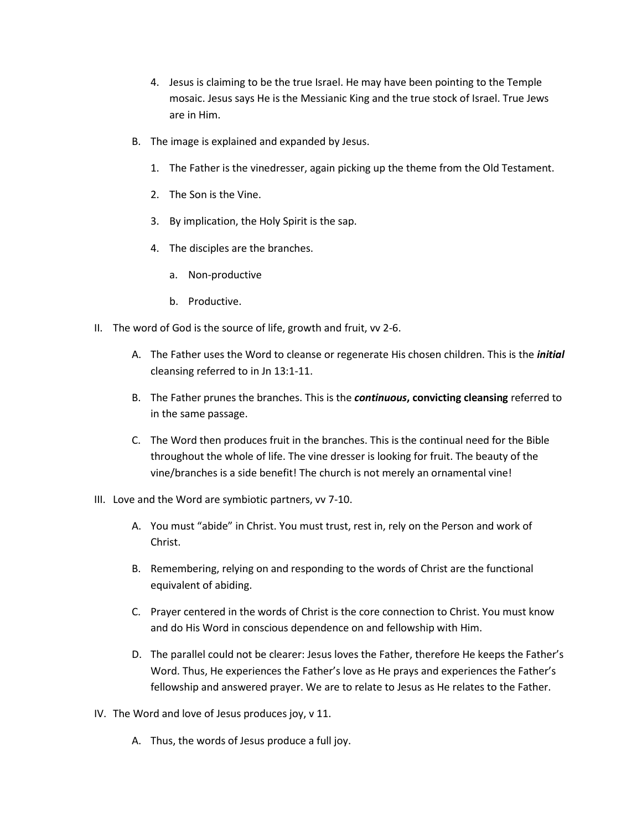- 4. Jesus is claiming to be the true Israel. He may have been pointing to the Temple mosaic. Jesus says He is the Messianic King and the true stock of Israel. True Jews are in Him.
- B. The image is explained and expanded by Jesus.
	- 1. The Father is the vinedresser, again picking up the theme from the Old Testament.
	- 2. The Son is the Vine.
	- 3. By implication, the Holy Spirit is the sap.
	- 4. The disciples are the branches.
		- a. Non-productive
		- b. Productive.
- II. The word of God is the source of life, growth and fruit, vv 2-6.
	- A. The Father uses the Word to cleanse or regenerate His chosen children. This is the *initial* cleansing referred to in Jn 13:1-11.
	- B. The Father prunes the branches. This is the *continuous***, convicting cleansing** referred to in the same passage.
	- C. The Word then produces fruit in the branches. This is the continual need for the Bible throughout the whole of life. The vine dresser is looking for fruit. The beauty of the vine/branches is a side benefit! The church is not merely an ornamental vine!
- III. Love and the Word are symbiotic partners, vv 7-10.
	- A. You must "abide" in Christ. You must trust, rest in, rely on the Person and work of Christ.
	- B. Remembering, relying on and responding to the words of Christ are the functional equivalent of abiding.
	- C. Prayer centered in the words of Christ is the core connection to Christ. You must know and do His Word in conscious dependence on and fellowship with Him.
	- D. The parallel could not be clearer: Jesus loves the Father, therefore He keeps the Father's Word. Thus, He experiences the Father's love as He prays and experiences the Father's fellowship and answered prayer. We are to relate to Jesus as He relates to the Father.
- IV. The Word and love of Jesus produces joy, v 11.
	- A. Thus, the words of Jesus produce a full joy.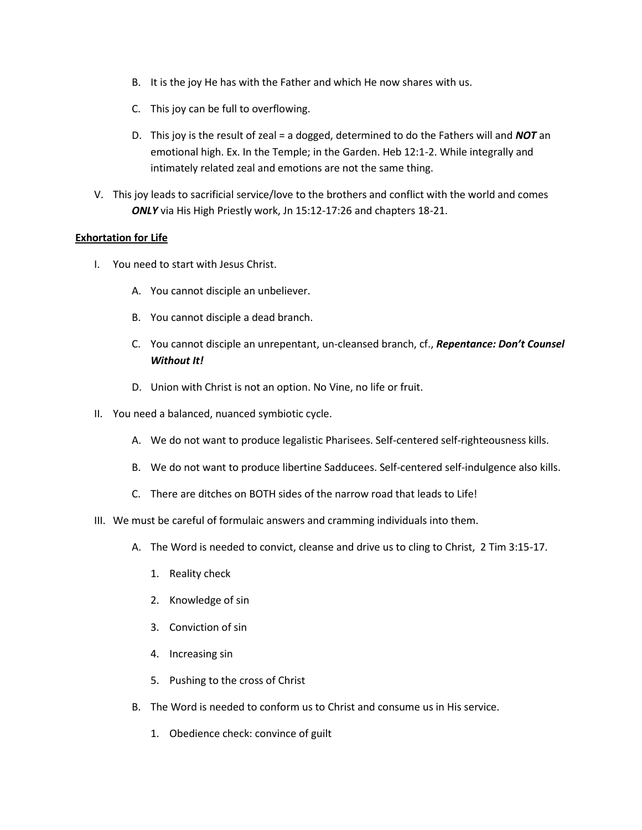- B. It is the joy He has with the Father and which He now shares with us.
- C. This joy can be full to overflowing.
- D. This joy is the result of zeal = a dogged, determined to do the Fathers will and *NOT* an emotional high. Ex. In the Temple; in the Garden. Heb 12:1-2. While integrally and intimately related zeal and emotions are not the same thing.
- V. This joy leads to sacrificial service/love to the brothers and conflict with the world and comes *ONLY* via His High Priestly work, Jn 15:12-17:26 and chapters 18-21.

# **Exhortation for Life**

- I. You need to start with Jesus Christ.
	- A. You cannot disciple an unbeliever.
	- B. You cannot disciple a dead branch.
	- C. You cannot disciple an unrepentant, un-cleansed branch, cf., *Repentance: Don't Counsel Without It!*
	- D. Union with Christ is not an option. No Vine, no life or fruit.
- II. You need a balanced, nuanced symbiotic cycle.
	- A. We do not want to produce legalistic Pharisees. Self-centered self-righteousness kills.
	- B. We do not want to produce libertine Sadducees. Self-centered self-indulgence also kills.
	- C. There are ditches on BOTH sides of the narrow road that leads to Life!
- III. We must be careful of formulaic answers and cramming individuals into them.
	- A. The Word is needed to convict, cleanse and drive us to cling to Christ, 2 Tim 3:15-17.
		- 1. Reality check
		- 2. Knowledge of sin
		- 3. Conviction of sin
		- 4. Increasing sin
		- 5. Pushing to the cross of Christ
	- B. The Word is needed to conform us to Christ and consume us in His service.
		- 1. Obedience check: convince of guilt